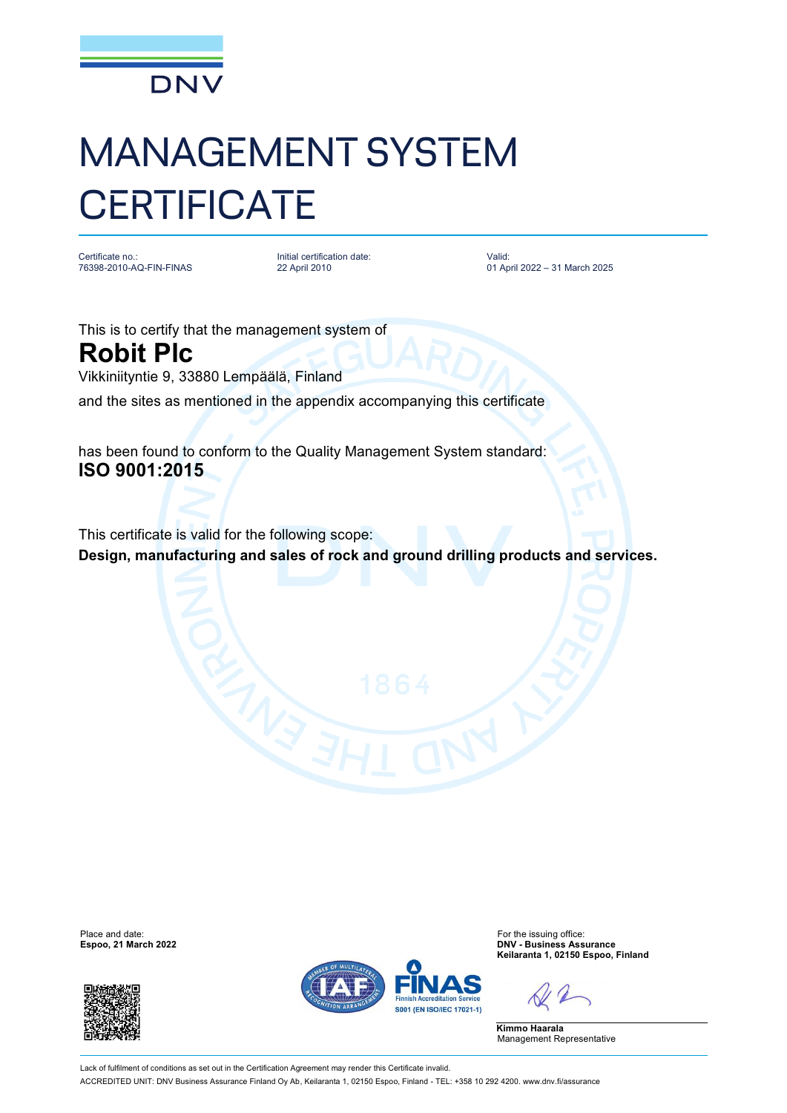

## MANAGEMENT SYSTEM **CERTIFICATE**

Certificate no.: 76398-2010-AQ-FIN-FINAS Initial certification date: 22 April 2010

Valid: 01 April 2022 – 31 March 2025

This is to certify that the management system of **Robit Plc** Vikkiniityntie 9, 33880 Lempäälä, Finland

and the sites as mentioned in the appendix accompanying this certificate

has been found to conform to the Quality Management System standard: **ISO 9001:2015**

This certificate is valid for the following scope: **Design, manufacturing and sales of rock and ground drilling products and services.**

Place and date: For the issuing office:<br>
For the issuing office:<br>
For the issuing office:<br>
For the issuing office:<br>
DNV - Business Ass





**Espoo, 21 March 2022 DNV - Business Assurance Keilaranta 1, 02150 Espoo, Finland**

**Kimmo Haarala** Management Representative

Lack of fulfilment of conditions as set out in the Certification Agreement may render this Certificate invalid. ACCREDITED UNIT: DNV Business Assurance Finland Oy Ab, Keilaranta 1, 02150 Espoo, Finland - TEL: +358 10 292 4200. [www.dnv.fi/assurance](http://www.dnv.fi/assurance)